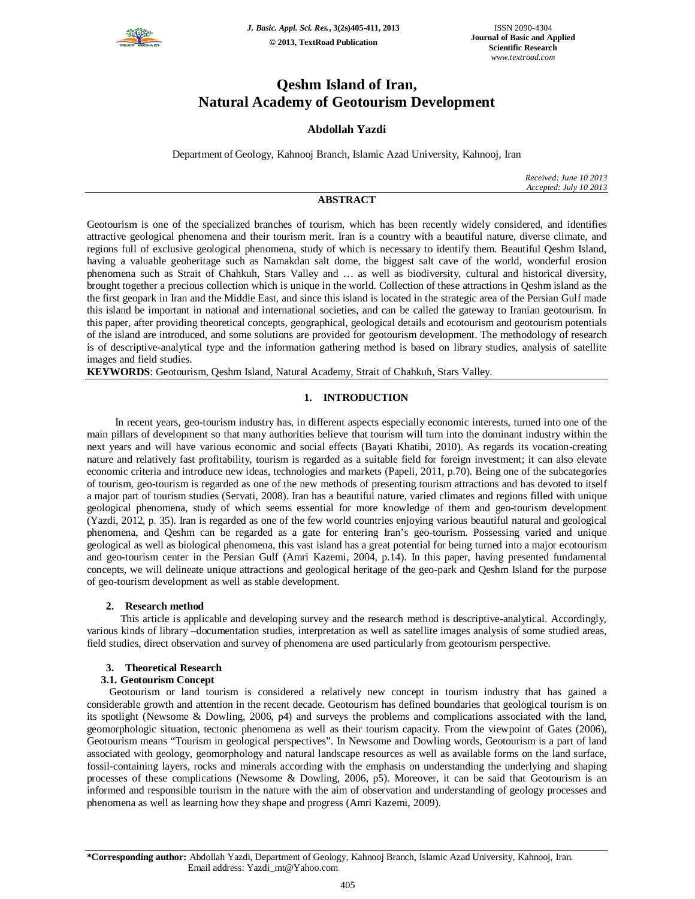

*J. Basic. Appl. Sci. Res.***, 3(2s)405-411, 2013 © 2013, TextRoad Publication**

ISSN 2090-4304 **Journal of Basic and Applied Scientific Research** *www.textroad.com*

# **Qeshm Island of Iran, Natural Academy of Geotourism Development**

# **Abdollah Yazdi**

Department of Geology, Kahnooj Branch, Islamic Azad University, Kahnooj, Iran

*Received: June 10 2013 Accepted: July 10 2013*

# **ABSTRACT**

Geotourism is one of the specialized branches of tourism, which has been recently widely considered, and identifies attractive geological phenomena and their tourism merit. Iran is a country with a beautiful nature, diverse climate, and regions full of exclusive geological phenomena, study of which is necessary to identify them. Beautiful Qeshm Island, having a valuable geoheritage such as Namakdan salt dome, the biggest salt cave of the world, wonderful erosion phenomena such as Strait of Chahkuh, Stars Valley and … as well as biodiversity, cultural and historical diversity, brought together a precious collection which is unique in the world. Collection of these attractions in Qeshm island as the the first geopark in Iran and the Middle East, and since this island is located in the strategic area of the Persian Gulf made this island be important in national and international societies, and can be called the gateway to Iranian geotourism. In this paper, after providing theoretical concepts, geographical, geological details and ecotourism and geotourism potentials of the island are introduced, and some solutions are provided for geotourism development. The methodology of research is of descriptive-analytical type and the information gathering method is based on library studies, analysis of satellite images and field studies.

**KEYWORDS**: Geotourism, Qeshm Island, Natural Academy, Strait of Chahkuh, Stars Valley.

# **1. INTRODUCTION**

 In recent years, geo-tourism industry has, in different aspects especially economic interests, turned into one of the main pillars of development so that many authorities believe that tourism will turn into the dominant industry within the next years and will have various economic and social effects (Bayati Khatibi, 2010). As regards its vocation-creating nature and relatively fast profitability, tourism is regarded as a suitable field for foreign investment; it can also elevate economic criteria and introduce new ideas, technologies and markets (Papeli, 2011, p.70). Being one of the subcategories of tourism, geo-tourism is regarded as one of the new methods of presenting tourism attractions and has devoted to itself a major part of tourism studies (Servati, 2008). Iran has a beautiful nature, varied climates and regions filled with unique geological phenomena, study of which seems essential for more knowledge of them and geo-tourism development (Yazdi, 2012, p. 35). Iran is regarded as one of the few world countries enjoying various beautiful natural and geological phenomena, and Qeshm can be regarded as a gate for entering Iran's geo-tourism. Possessing varied and unique geological as well as biological phenomena, this vast island has a great potential for being turned into a major ecotourism and geo-tourism center in the Persian Gulf (Amri Kazemi, 2004, p.14). In this paper, having presented fundamental concepts, we will delineate unique attractions and geological heritage of the geo-park and Qeshm Island for the purpose of geo-tourism development as well as stable development.

# **2. Research method**

 This article is applicable and developing survey and the research method is descriptive-analytical. Accordingly, various kinds of library –documentation studies, interpretation as well as satellite images analysis of some studied areas, field studies, direct observation and survey of phenomena are used particularly from geotourism perspective.

# **3. Theoretical Research**

# **3.1. Geotourism Concept**

Geotourism or land tourism is considered a relatively new concept in tourism industry that has gained a considerable growth and attention in the recent decade. Geotourism has defined boundaries that geological tourism is on its spotlight (Newsome & Dowling, 2006, p4) and surveys the problems and complications associated with the land, geomorphologic situation, tectonic phenomena as well as their tourism capacity. From the viewpoint of Gates (2006), Geotourism means "Tourism in geological perspectives". In Newsome and Dowling words, Geotourism is a part of land associated with geology, geomorphology and natural landscape resources as well as available forms on the land surface, fossil-containing layers, rocks and minerals according with the emphasis on understanding the underlying and shaping processes of these complications (Newsome & Dowling, 2006, p5). Moreover, it can be said that Geotourism is an informed and responsible tourism in the nature with the aim of observation and understanding of geology processes and phenomena as well as learning how they shape and progress (Amri Kazemi, 2009).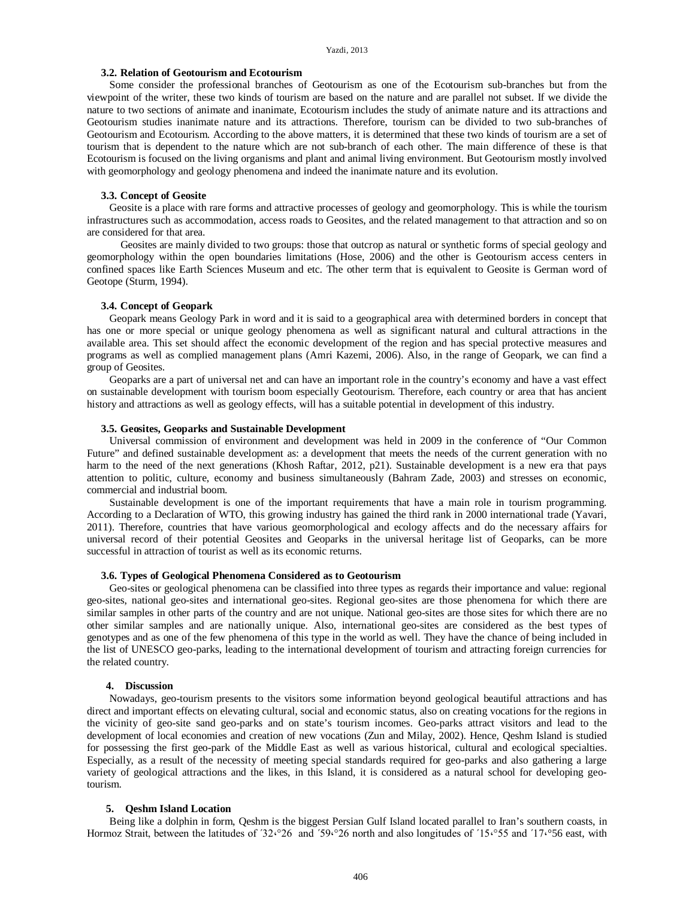# **3.2. Relation of Geotourism and Ecotourism**

Some consider the professional branches of Geotourism as one of the Ecotourism sub-branches but from the viewpoint of the writer, these two kinds of tourism are based on the nature and are parallel not subset. If we divide the nature to two sections of animate and inanimate, Ecotourism includes the study of animate nature and its attractions and Geotourism studies inanimate nature and its attractions. Therefore, tourism can be divided to two sub-branches of Geotourism and Ecotourism. According to the above matters, it is determined that these two kinds of tourism are a set of tourism that is dependent to the nature which are not sub-branch of each other. The main difference of these is that Ecotourism is focused on the living organisms and plant and animal living environment. But Geotourism mostly involved with geomorphology and geology phenomena and indeed the inanimate nature and its evolution.

# **3.3. Concept of Geosite**

Geosite is a place with rare forms and attractive processes of geology and geomorphology. This is while the tourism infrastructures such as accommodation, access roads to Geosites, and the related management to that attraction and so on are considered for that area.

 Geosites are mainly divided to two groups: those that outcrop as natural or synthetic forms of special geology and geomorphology within the open boundaries limitations (Hose, 2006) and the other is Geotourism access centers in confined spaces like Earth Sciences Museum and etc. The other term that is equivalent to Geosite is German word of Geotope (Sturm, 1994).

# **3.4. Concept of Geopark**

Geopark means Geology Park in word and it is said to a geographical area with determined borders in concept that has one or more special or unique geology phenomena as well as significant natural and cultural attractions in the available area. This set should affect the economic development of the region and has special protective measures and programs as well as complied management plans (Amri Kazemi, 2006). Also, in the range of Geopark, we can find a group of Geosites.

Geoparks are a part of universal net and can have an important role in the country's economy and have a vast effect on sustainable development with tourism boom especially Geotourism. Therefore, each country or area that has ancient history and attractions as well as geology effects, will has a suitable potential in development of this industry.

# **3.5. Geosites, Geoparks and Sustainable Development**

Universal commission of environment and development was held in 2009 in the conference of "Our Common Future" and defined sustainable development as: a development that meets the needs of the current generation with no harm to the need of the next generations (Khosh Raftar, 2012, p21). Sustainable development is a new era that pays attention to politic, culture, economy and business simultaneously (Bahram Zade, 2003) and stresses on economic, commercial and industrial boom.

Sustainable development is one of the important requirements that have a main role in tourism programming. According to a Declaration of WTO, this growing industry has gained the third rank in 2000 international trade (Yavari, 2011). Therefore, countries that have various geomorphological and ecology affects and do the necessary affairs for universal record of their potential Geosites and Geoparks in the universal heritage list of Geoparks, can be more successful in attraction of tourist as well as its economic returns.

### **3.6. Types of Geological Phenomena Considered as to Geotourism**

Geo-sites or geological phenomena can be classified into three types as regards their importance and value: regional geo-sites, national geo-sites and international geo-sites. Regional geo-sites are those phenomena for which there are similar samples in other parts of the country and are not unique. National geo-sites are those sites for which there are no other similar samples and are nationally unique. Also, international geo-sites are considered as the best types of genotypes and as one of the few phenomena of this type in the world as well. They have the chance of being included in the list of UNESCO geo-parks, leading to the international development of tourism and attracting foreign currencies for the related country.

### **4. Discussion**

Nowadays, geo-tourism presents to the visitors some information beyond geological beautiful attractions and has direct and important effects on elevating cultural, social and economic status, also on creating vocations for the regions in the vicinity of geo-site sand geo-parks and on state's tourism incomes. Geo-parks attract visitors and lead to the development of local economies and creation of new vocations (Zun and Milay, 2002). Hence, Qeshm Island is studied for possessing the first geo-park of the Middle East as well as various historical, cultural and ecological specialties. Especially, as a result of the necessity of meeting special standards required for geo-parks and also gathering a large variety of geological attractions and the likes, in this Island, it is considered as a natural school for developing geotourism.

#### **5. Qeshm Island Location**

Being like a dolphin in form, Qeshm is the biggest Persian Gulf Island located parallel to Iran's southern coasts, in Hormoz Strait, between the latitudes of '32.°26 and '59.°26 north and also longitudes of '15.°55 and '17.°56 east, with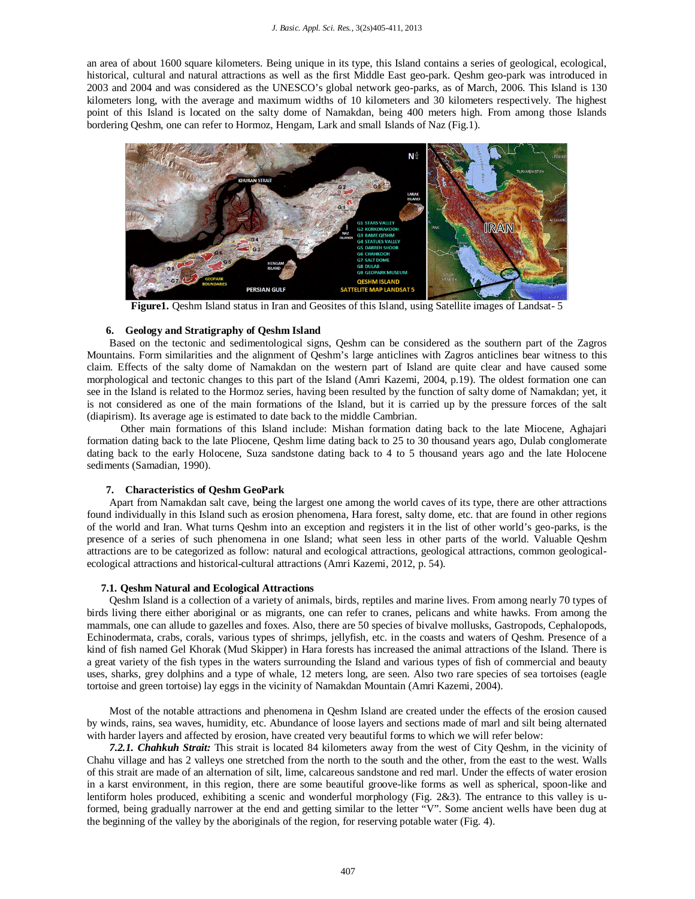an area of about 1600 square kilometers. Being unique in its type, this Island contains a series of geological, ecological, historical, cultural and natural attractions as well as the first Middle East geo-park. Qeshm geo-park was introduced in 2003 and 2004 and was considered as the UNESCO's global network geo-parks, as of March, 2006. This Island is 130 kilometers long, with the average and maximum widths of 10 kilometers and 30 kilometers respectively. The highest point of this Island is located on the salty dome of Namakdan, being 400 meters high. From among those Islands bordering Qeshm, one can refer to Hormoz, Hengam, Lark and small Islands of Naz (Fig.1).



**Figure1.** Qeshm Island status in Iran and Geosites of this Island, using Satellite images of Landsat- 5

# **6. Geology and Stratigraphy of Qeshm Island**

Based on the tectonic and sedimentological signs, Qeshm can be considered as the southern part of the Zagros Mountains. Form similarities and the alignment of Qeshm's large anticlines with Zagros anticlines bear witness to this claim. Effects of the salty dome of Namakdan on the western part of Island are quite clear and have caused some morphological and tectonic changes to this part of the Island (Amri Kazemi, 2004, p.19). The oldest formation one can see in the Island is related to the Hormoz series, having been resulted by the function of salty dome of Namakdan; yet, it is not considered as one of the main formations of the Island, but it is carried up by the pressure forces of the salt (diapirism). Its average age is estimated to date back to the middle Cambrian.

 Other main formations of this Island include: Mishan formation dating back to the late Miocene, Aghajari formation dating back to the late Pliocene, Qeshm lime dating back to 25 to 30 thousand years ago, Dulab conglomerate dating back to the early Holocene, Suza sandstone dating back to 4 to 5 thousand years ago and the late Holocene sediments (Samadian, 1990).

#### **7. Characteristics of Qeshm GeoPark**

Apart from Namakdan salt cave, being the largest one among the world caves of its type, there are other attractions found individually in this Island such as erosion phenomena, Hara forest, salty dome, etc. that are found in other regions of the world and Iran. What turns Qeshm into an exception and registers it in the list of other world's geo-parks, is the presence of a series of such phenomena in one Island; what seen less in other parts of the world. Valuable Qeshm attractions are to be categorized as follow: natural and ecological attractions, geological attractions, common geologicalecological attractions and historical-cultural attractions (Amri Kazemi, 2012, p. 54).

### **7.1. Qeshm Natural and Ecological Attractions**

Qeshm Island is a collection of a variety of animals, birds, reptiles and marine lives. From among nearly 70 types of birds living there either aboriginal or as migrants, one can refer to cranes, pelicans and white hawks. From among the mammals, one can allude to gazelles and foxes. Also, there are 50 species of bivalve mollusks, Gastropods, Cephalopods, Echinodermata, crabs, corals, various types of shrimps, jellyfish, etc. in the coasts and waters of Qeshm. Presence of a kind of fish named Gel Khorak (Mud Skipper) in Hara forests has increased the animal attractions of the Island. There is a great variety of the fish types in the waters surrounding the Island and various types of fish of commercial and beauty uses, sharks, grey dolphins and a type of whale, 12 meters long, are seen. Also two rare species of sea tortoises (eagle tortoise and green tortoise) lay eggs in the vicinity of Namakdan Mountain (Amri Kazemi, 2004).

Most of the notable attractions and phenomena in Qeshm Island are created under the effects of the erosion caused by winds, rains, sea waves, humidity, etc. Abundance of loose layers and sections made of marl and silt being alternated with harder layers and affected by erosion, have created very beautiful forms to which we will refer below:

*7.2.1. Chahkuh Strait:* This strait is located 84 kilometers away from the west of City Qeshm, in the vicinity of Chahu village and has 2 valleys one stretched from the north to the south and the other, from the east to the west. Walls of this strait are made of an alternation of silt, lime, calcareous sandstone and red marl. Under the effects of water erosion in a karst environment, in this region, there are some beautiful groove-like forms as well as spherical, spoon-like and lentiform holes produced, exhibiting a scenic and wonderful morphology (Fig. 2&3). The entrance to this valley is uformed, being gradually narrower at the end and getting similar to the letter "V". Some ancient wells have been dug at the beginning of the valley by the aboriginals of the region, for reserving potable water (Fig. 4).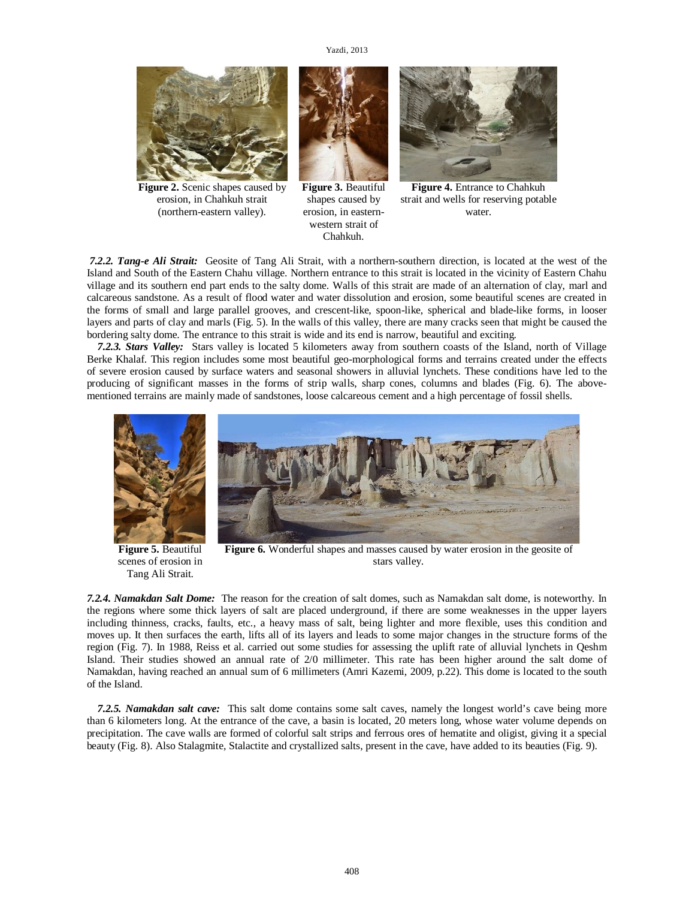

**Figure 2.** Scenic shapes caused by erosion, in Chahkuh strait (northern-eastern valley).



**Figure 3.** Beautiful shapes caused by erosion, in easternwestern strait of Chahkuh.



**Figure 4.** Entrance to Chahkuh strait and wells for reserving potable water.

*7.2.2. Tang-e Ali Strait:* Geosite of Tang Ali Strait, with a northern-southern direction, is located at the west of the Island and South of the Eastern Chahu village. Northern entrance to this strait is located in the vicinity of Eastern Chahu village and its southern end part ends to the salty dome. Walls of this strait are made of an alternation of clay, marl and calcareous sandstone. As a result of flood water and water dissolution and erosion, some beautiful scenes are created in the forms of small and large parallel grooves, and crescent-like, spoon-like, spherical and blade-like forms, in looser layers and parts of clay and marls (Fig. 5). In the walls of this valley, there are many cracks seen that might be caused the bordering salty dome. The entrance to this strait is wide and its end is narrow, beautiful and exciting.

 *7.2.3. Stars Valley:* Stars valley is located 5 kilometers away from southern coasts of the Island, north of Village Berke Khalaf. This region includes some most beautiful geo-morphological forms and terrains created under the effects of severe erosion caused by surface waters and seasonal showers in alluvial lynchets. These conditions have led to the producing of significant masses in the forms of strip walls, sharp cones, columns and blades (Fig. 6). The abovementioned terrains are mainly made of sandstones, loose calcareous cement and a high percentage of fossil shells.



**Figure 5.** Beautiful scenes of erosion in Tang Ali Strait.

**Figure 6.** Wonderful shapes and masses caused by water erosion in the geosite of stars valley.

*7.2.4. Namakdan Salt Dome:* The reason for the creation of salt domes, such as Namakdan salt dome, is noteworthy. In the regions where some thick layers of salt are placed underground, if there are some weaknesses in the upper layers including thinness, cracks, faults, etc., a heavy mass of salt, being lighter and more flexible, uses this condition and moves up. It then surfaces the earth, lifts all of its layers and leads to some major changes in the structure forms of the region (Fig. 7). In 1988, Reiss et al. carried out some studies for assessing the uplift rate of alluvial lynchets in Qeshm Island. Their studies showed an annual rate of 2/0 millimeter. This rate has been higher around the salt dome of Namakdan, having reached an annual sum of 6 millimeters (Amri Kazemi, 2009, p.22). This dome is located to the south of the Island.

 *7.2.5. Namakdan salt cave:* This salt dome contains some salt caves, namely the longest world's cave being more than 6 kilometers long. At the entrance of the cave, a basin is located, 20 meters long, whose water volume depends on precipitation. The cave walls are formed of colorful salt strips and ferrous ores of hematite and oligist, giving it a special beauty (Fig. 8). Also Stalagmite, Stalactite and crystallized salts, present in the cave, have added to its beauties (Fig. 9).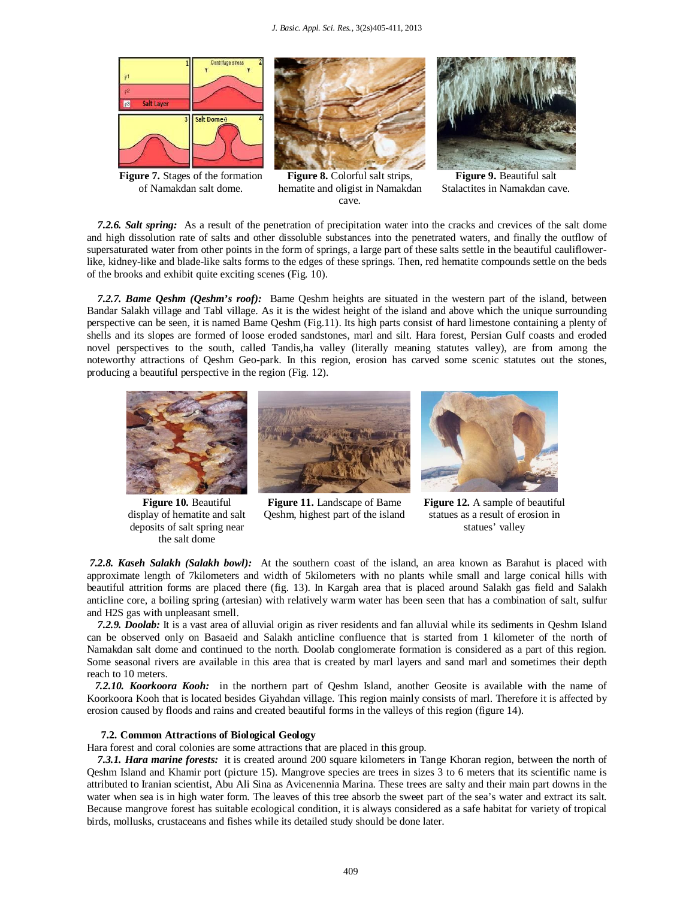

**Figure 7.** Stages of the formation of Namakdan salt dome.



**Figure 8.** Colorful salt strips, hematite and oligist in Namakdan cave.



**Figure 9.** Beautiful salt Stalactites in Namakdan cave.

 *7.2.6. Salt spring:* As a result of the penetration of precipitation water into the cracks and crevices of the salt dome and high dissolution rate of salts and other dissoluble substances into the penetrated waters, and finally the outflow of supersaturated water from other points in the form of springs, a large part of these salts settle in the beautiful cauliflowerlike, kidney-like and blade-like salts forms to the edges of these springs. Then, red hematite compounds settle on the beds of the brooks and exhibit quite exciting scenes (Fig. 10).

 *7.2.7. Bame Qeshm (Qeshm's roof):* Bame Qeshm heights are situated in the western part of the island, between Bandar Salakh village and Tabl village. As it is the widest height of the island and above which the unique surrounding perspective can be seen, it is named Bame Qeshm (Fig.11). Its high parts consist of hard limestone containing a plenty of shells and its slopes are formed of loose eroded sandstones, marl and silt. Hara forest, Persian Gulf coasts and eroded novel perspectives to the south, called Tandis,ha valley (literally meaning statutes valley), are from among the noteworthy attractions of Qeshm Geo-park. In this region, erosion has carved some scenic statutes out the stones, producing a beautiful perspective in the region (Fig. 12).



**Figure 10.** Beautiful display of hematite and salt deposits of salt spring near the salt dome



**Figure 11.** Landscape of Bame Qeshm, highest part of the island



**Figure 12.** A sample of beautiful statues as a result of erosion in statues' valley

*7.2.8. Kaseh Salakh (Salakh bowl):* At the southern coast of the island, an area known as Barahut is placed with approximate length of 7kilometers and width of 5kilometers with no plants while small and large conical hills with beautiful attrition forms are placed there (fig. 13). In Kargah area that is placed around Salakh gas field and Salakh anticline core, a boiling spring (artesian) with relatively warm water has been seen that has a combination of salt, sulfur and H2S gas with unpleasant smell.

 *7.2.9. Doolab:* It is a vast area of alluvial origin as river residents and fan alluvial while its sediments in Qeshm Island can be observed only on Basaeid and Salakh anticline confluence that is started from 1 kilometer of the north of Namakdan salt dome and continued to the north. Doolab conglomerate formation is considered as a part of this region. Some seasonal rivers are available in this area that is created by marl layers and sand marl and sometimes their depth reach to 10 meters.

 *7.2.10. Koorkoora Kooh:* in the northern part of Qeshm Island, another Geosite is available with the name of Koorkoora Kooh that is located besides Giyahdan village. This region mainly consists of marl. Therefore it is affected by erosion caused by floods and rains and created beautiful forms in the valleys of this region (figure 14).

# **7.2. Common Attractions of Biological Geology**

Hara forest and coral colonies are some attractions that are placed in this group.

 *7.3.1. Hara marine forests:* it is created around 200 square kilometers in Tange Khoran region, between the north of Qeshm Island and Khamir port (picture 15). Mangrove species are trees in sizes 3 to 6 meters that its scientific name is attributed to Iranian scientist, Abu Ali Sina as Avicenennia Marina. These trees are salty and their main part downs in the water when sea is in high water form. The leaves of this tree absorb the sweet part of the sea's water and extract its salt. Because mangrove forest has suitable ecological condition, it is always considered as a safe habitat for variety of tropical birds, mollusks, crustaceans and fishes while its detailed study should be done later.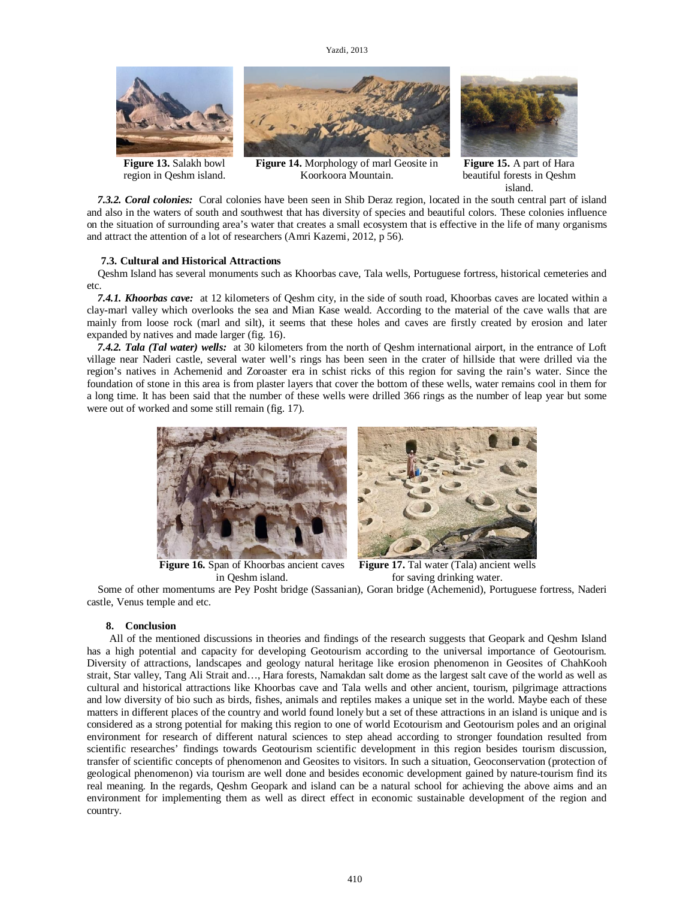# Yazdi, 2013



**Figure 13.** Salakh bowl region in Qeshm island.

**Figure 14.** Morphology of marl Geosite in Koorkoora Mountain.

**Figure 15.** A part of Hara beautiful forests in Qeshm island.

 *7.3.2. Coral colonies:* Coral colonies have been seen in Shib Deraz region, located in the south central part of island and also in the waters of south and southwest that has diversity of species and beautiful colors. These colonies influence on the situation of surrounding area's water that creates a small ecosystem that is effective in the life of many organisms and attract the attention of a lot of researchers (Amri Kazemi, 2012, p 56).

### **7.3. Cultural and Historical Attractions**

 Qeshm Island has several monuments such as Khoorbas cave, Tala wells, Portuguese fortress, historical cemeteries and etc.

 *7.4.1. Khoorbas cave:* at 12 kilometers of Qeshm city, in the side of south road, Khoorbas caves are located within a clay-marl valley which overlooks the sea and Mian Kase weald. According to the material of the cave walls that are mainly from loose rock (marl and silt), it seems that these holes and caves are firstly created by erosion and later expanded by natives and made larger (fig. 16).

 *7.4.2. Tala (Tal water) wells:* at 30 kilometers from the north of Qeshm international airport, in the entrance of Loft village near Naderi castle, several water well's rings has been seen in the crater of hillside that were drilled via the region's natives in Achemenid and Zoroaster era in schist ricks of this region for saving the rain's water. Since the foundation of stone in this area is from plaster layers that cover the bottom of these wells, water remains cool in them for a long time. It has been said that the number of these wells were drilled 366 rings as the number of leap year but some were out of worked and some still remain (fig. 17).



**Figure 16.** Span of Khoorbas ancient caves in Qeshm island.

**Figure 17.** Tal water (Tala) ancient wells for saving drinking water.

 Some of other momentums are Pey Posht bridge (Sassanian), Goran bridge (Achemenid), Portuguese fortress, Naderi castle, Venus temple and etc.

#### **8. Conclusion**

All of the mentioned discussions in theories and findings of the research suggests that Geopark and Qeshm Island has a high potential and capacity for developing Geotourism according to the universal importance of Geotourism. Diversity of attractions, landscapes and geology natural heritage like erosion phenomenon in Geosites of ChahKooh strait, Star valley, Tang Ali Strait and…, Hara forests, Namakdan salt dome as the largest salt cave of the world as well as cultural and historical attractions like Khoorbas cave and Tala wells and other ancient, tourism, pilgrimage attractions and low diversity of bio such as birds, fishes, animals and reptiles makes a unique set in the world. Maybe each of these matters in different places of the country and world found lonely but a set of these attractions in an island is unique and is considered as a strong potential for making this region to one of world Ecotourism and Geotourism poles and an original environment for research of different natural sciences to step ahead according to stronger foundation resulted from scientific researches' findings towards Geotourism scientific development in this region besides tourism discussion, transfer of scientific concepts of phenomenon and Geosites to visitors. In such a situation, Geoconservation (protection of geological phenomenon) via tourism are well done and besides economic development gained by nature-tourism find its real meaning. In the regards, Qeshm Geopark and island can be a natural school for achieving the above aims and an environment for implementing them as well as direct effect in economic sustainable development of the region and country.